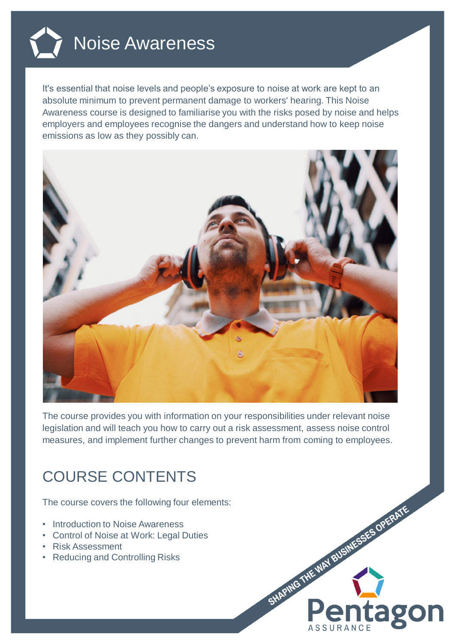

It's essential that noise levels and people's exposure to noise at work are kept to an absolute minimum to prevent permanent damage to workers' hearing. This Noise Awareness course is designed to familiarise you with the risks posed by noise and helps employers and employees recognise the dangers and understand how to keep noise emissions as low as they possibly can.



The course provides you with information on your responsibilities under relevant noise legislation and will teach you how to carry out a risk assessment, assess noise control measures, and implement further changes to prevent harm from coming to employees.

## COURSE CONTENTS

The course covers the following four elements:

- Introduction to Noise Awareness
- Control of Noise at Work: Legal Duties
- Risk Assessment
- Reducing and Controlling Risks